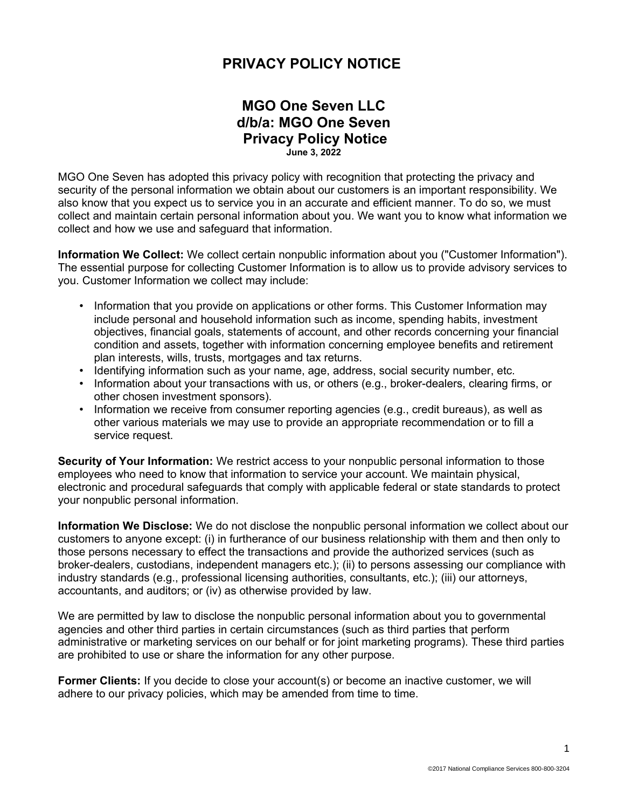## **PRIVACY POLICY NOTICE**

## **MGO One Seven LLC d/b/a: MGO One Seven Privacy Policy Notice June 3, 2022**

MGO One Seven has adopted this privacy policy with recognition that protecting the privacy and security of the personal information we obtain about our customers is an important responsibility. We also know that you expect us to service you in an accurate and efficient manner. To do so, we must collect and maintain certain personal information about you. We want you to know what information we collect and how we use and safeguard that information.

**Information We Collect:** We collect certain nonpublic information about you ("Customer Information"). The essential purpose for collecting Customer Information is to allow us to provide advisory services to you. Customer Information we collect may include:

- Information that you provide on applications or other forms. This Customer Information may include personal and household information such as income, spending habits, investment objectives, financial goals, statements of account, and other records concerning your financial condition and assets, together with information concerning employee benefits and retirement plan interests, wills, trusts, mortgages and tax returns.
- Identifying information such as your name, age, address, social security number, etc.
- Information about your transactions with us, or others (e.g., broker-dealers, clearing firms, or other chosen investment sponsors).
- Information we receive from consumer reporting agencies (e.g., credit bureaus), as well as other various materials we may use to provide an appropriate recommendation or to fill a service request.

**Security of Your Information:** We restrict access to your nonpublic personal information to those employees who need to know that information to service your account. We maintain physical, electronic and procedural safeguards that comply with applicable federal or state standards to protect your nonpublic personal information.

**Information We Disclose:** We do not disclose the nonpublic personal information we collect about our customers to anyone except: (i) in furtherance of our business relationship with them and then only to those persons necessary to effect the transactions and provide the authorized services (such as broker-dealers, custodians, independent managers etc.); (ii) to persons assessing our compliance with industry standards (e.g., professional licensing authorities, consultants, etc.); (iii) our attorneys, accountants, and auditors; or (iv) as otherwise provided by law.

We are permitted by law to disclose the nonpublic personal information about you to governmental agencies and other third parties in certain circumstances (such as third parties that perform administrative or marketing services on our behalf or for joint marketing programs). These third parties are prohibited to use or share the information for any other purpose.

**Former Clients:** If you decide to close your account(s) or become an inactive customer, we will adhere to our privacy policies, which may be amended from time to time.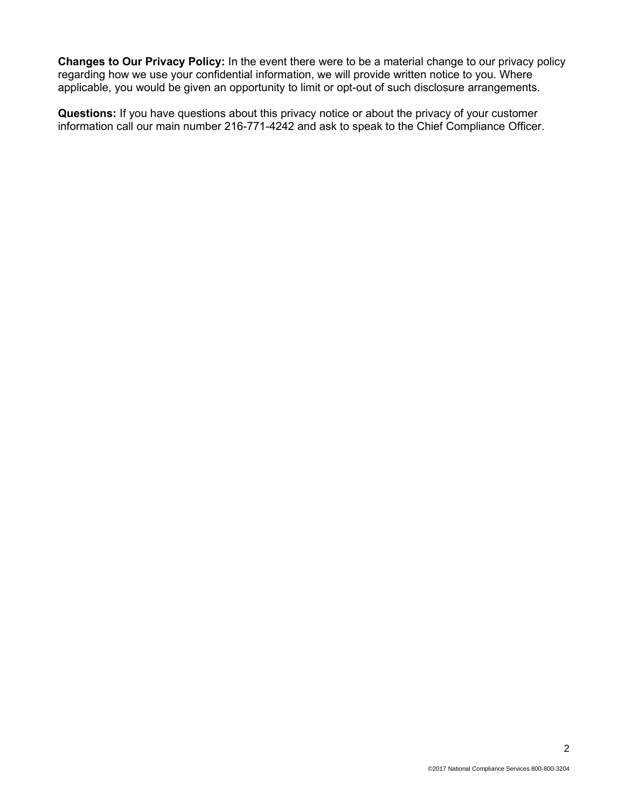**Changes to Our Privacy Policy:** In the event there were to be a material change to our privacy policy regarding how we use your confidential information, we will provide written notice to you. Where applicable, you would be given an opportunity to limit or opt-out of such disclosure arrangements.

**Questions:** If you have questions about this privacy notice or about the privacy of your customer information call our main number 216-771-4242 and ask to speak to the Chief Compliance Officer.

2